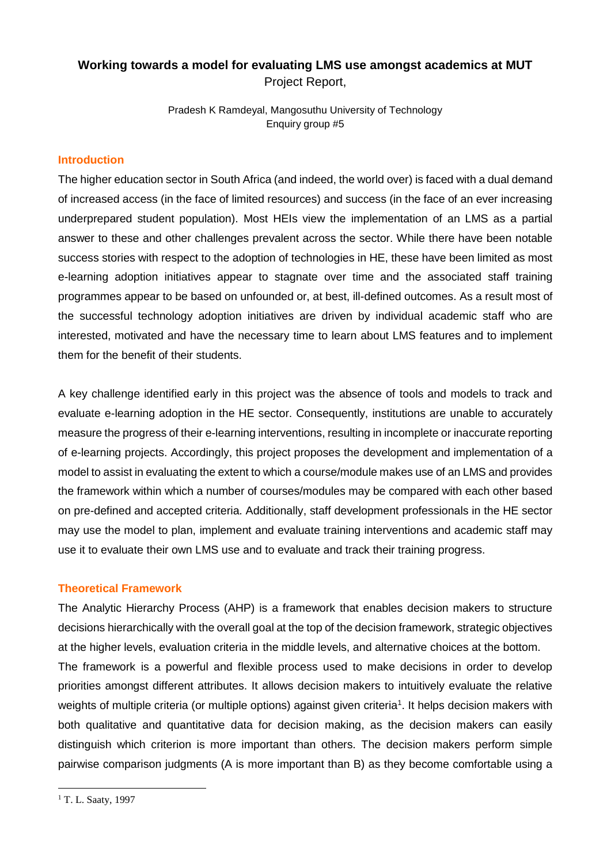# **Working towards a model for evaluating LMS use amongst academics at MUT** Project Report,

Pradesh K Ramdeyal, Mangosuthu University of Technology Enquiry group #5

#### **Introduction**

The higher education sector in South Africa (and indeed, the world over) is faced with a dual demand of increased access (in the face of limited resources) and success (in the face of an ever increasing underprepared student population). Most HEIs view the implementation of an LMS as a partial answer to these and other challenges prevalent across the sector. While there have been notable success stories with respect to the adoption of technologies in HE, these have been limited as most e-learning adoption initiatives appear to stagnate over time and the associated staff training programmes appear to be based on unfounded or, at best, ill-defined outcomes. As a result most of the successful technology adoption initiatives are driven by individual academic staff who are interested, motivated and have the necessary time to learn about LMS features and to implement them for the benefit of their students.

A key challenge identified early in this project was the absence of tools and models to track and evaluate e-learning adoption in the HE sector. Consequently, institutions are unable to accurately measure the progress of their e-learning interventions, resulting in incomplete or inaccurate reporting of e-learning projects. Accordingly, this project proposes the development and implementation of a model to assist in evaluating the extent to which a course/module makes use of an LMS and provides the framework within which a number of courses/modules may be compared with each other based on pre-defined and accepted criteria. Additionally, staff development professionals in the HE sector may use the model to plan, implement and evaluate training interventions and academic staff may use it to evaluate their own LMS use and to evaluate and track their training progress.

### **Theoretical Framework**

The Analytic Hierarchy Process (AHP) is a framework that enables decision makers to structure decisions hierarchically with the overall goal at the top of the decision framework, strategic objectives at the higher levels, evaluation criteria in the middle levels, and alternative choices at the bottom. The framework is a powerful and flexible process used to make decisions in order to develop priorities amongst different attributes. It allows decision makers to intuitively evaluate the relative weights of multiple criteria (or multiple options) against given criteria<sup>1</sup>. It helps decision makers with both qualitative and quantitative data for decision making, as the decision makers can easily distinguish which criterion is more important than others. The decision makers perform simple pairwise comparison judgments (A is more important than B) as they become comfortable using a

1

<sup>&</sup>lt;sup>1</sup> T. L. Saaty, 1997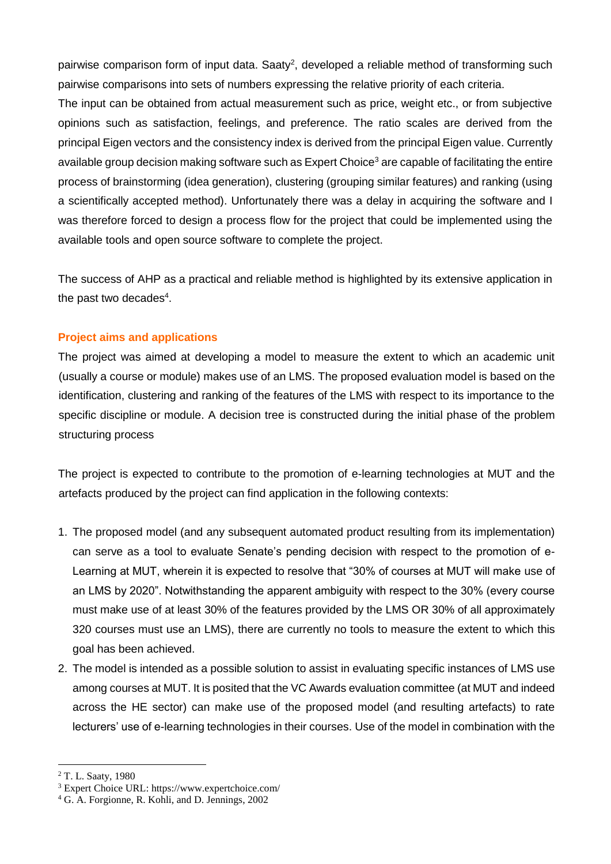pairwise comparison form of input data. Saaty<sup>2</sup>, developed a reliable method of transforming such pairwise comparisons into sets of numbers expressing the relative priority of each criteria.

The input can be obtained from actual measurement such as price, weight etc., or from subjective opinions such as satisfaction, feelings, and preference. The ratio scales are derived from the principal Eigen vectors and the consistency index is derived from the principal Eigen value. Currently available group decision making software such as Expert Choice<sup>3</sup> are capable of facilitating the entire process of brainstorming (idea generation), clustering (grouping similar features) and ranking (using a scientifically accepted method). Unfortunately there was a delay in acquiring the software and I was therefore forced to design a process flow for the project that could be implemented using the available tools and open source software to complete the project.

The success of AHP as a practical and reliable method is highlighted by its extensive application in the past two decades $4$ .

## **Project aims and applications**

The project was aimed at developing a model to measure the extent to which an academic unit (usually a course or module) makes use of an LMS. The proposed evaluation model is based on the identification, clustering and ranking of the features of the LMS with respect to its importance to the specific discipline or module. A decision tree is constructed during the initial phase of the problem structuring process

The project is expected to contribute to the promotion of e-learning technologies at MUT and the artefacts produced by the project can find application in the following contexts:

- 1. The proposed model (and any subsequent automated product resulting from its implementation) can serve as a tool to evaluate Senate's pending decision with respect to the promotion of e-Learning at MUT, wherein it is expected to resolve that "30% of courses at MUT will make use of an LMS by 2020". Notwithstanding the apparent ambiguity with respect to the 30% (every course must make use of at least 30% of the features provided by the LMS OR 30% of all approximately 320 courses must use an LMS), there are currently no tools to measure the extent to which this goal has been achieved.
- 2. The model is intended as a possible solution to assist in evaluating specific instances of LMS use among courses at MUT. It is posited that the VC Awards evaluation committee (at MUT and indeed across the HE sector) can make use of the proposed model (and resulting artefacts) to rate lecturers' use of e-learning technologies in their courses. Use of the model in combination with the

<u>.</u>

<sup>2</sup> T. L. Saaty, 1980

<sup>3</sup> Expert Choice URL: https://www.expertchoice.com/

<sup>4</sup> G. A. Forgionne, R. Kohli, and D. Jennings, 2002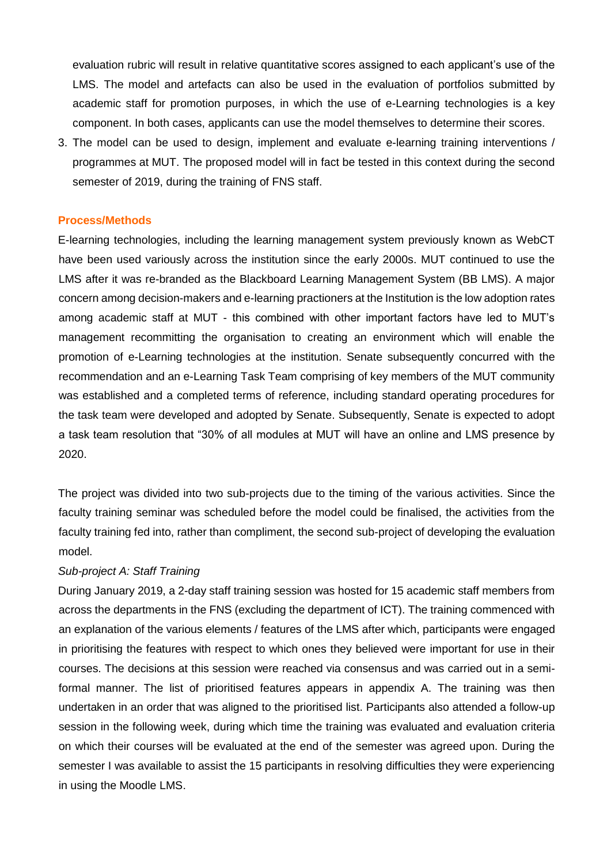evaluation rubric will result in relative quantitative scores assigned to each applicant's use of the LMS. The model and artefacts can also be used in the evaluation of portfolios submitted by academic staff for promotion purposes, in which the use of e-Learning technologies is a key component. In both cases, applicants can use the model themselves to determine their scores.

3. The model can be used to design, implement and evaluate e-learning training interventions / programmes at MUT. The proposed model will in fact be tested in this context during the second semester of 2019, during the training of FNS staff.

#### **Process/Methods**

E-learning technologies, including the learning management system previously known as WebCT have been used variously across the institution since the early 2000s. MUT continued to use the LMS after it was re-branded as the Blackboard Learning Management System (BB LMS). A major concern among decision-makers and e-learning practioners at the Institution is the low adoption rates among academic staff at MUT - this combined with other important factors have led to MUT's management recommitting the organisation to creating an environment which will enable the promotion of e-Learning technologies at the institution. Senate subsequently concurred with the recommendation and an e-Learning Task Team comprising of key members of the MUT community was established and a completed terms of reference, including standard operating procedures for the task team were developed and adopted by Senate. Subsequently, Senate is expected to adopt a task team resolution that "30% of all modules at MUT will have an online and LMS presence by 2020.

The project was divided into two sub-projects due to the timing of the various activities. Since the faculty training seminar was scheduled before the model could be finalised, the activities from the faculty training fed into, rather than compliment, the second sub-project of developing the evaluation model.

#### *Sub-project A: Staff Training*

During January 2019, a 2-day staff training session was hosted for 15 academic staff members from across the departments in the FNS (excluding the department of ICT). The training commenced with an explanation of the various elements / features of the LMS after which, participants were engaged in prioritising the features with respect to which ones they believed were important for use in their courses. The decisions at this session were reached via consensus and was carried out in a semiformal manner. The list of prioritised features appears in appendix A. The training was then undertaken in an order that was aligned to the prioritised list. Participants also attended a follow-up session in the following week, during which time the training was evaluated and evaluation criteria on which their courses will be evaluated at the end of the semester was agreed upon. During the semester I was available to assist the 15 participants in resolving difficulties they were experiencing in using the Moodle LMS.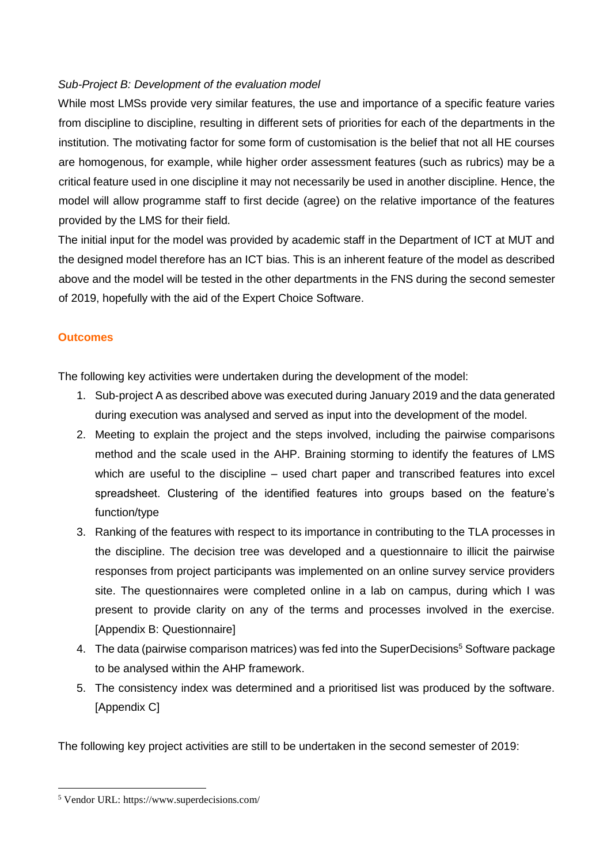# *Sub-Project B: Development of the evaluation model*

While most LMSs provide very similar features, the use and importance of a specific feature varies from discipline to discipline, resulting in different sets of priorities for each of the departments in the institution. The motivating factor for some form of customisation is the belief that not all HE courses are homogenous, for example, while higher order assessment features (such as rubrics) may be a critical feature used in one discipline it may not necessarily be used in another discipline. Hence, the model will allow programme staff to first decide (agree) on the relative importance of the features provided by the LMS for their field.

The initial input for the model was provided by academic staff in the Department of ICT at MUT and the designed model therefore has an ICT bias. This is an inherent feature of the model as described above and the model will be tested in the other departments in the FNS during the second semester of 2019, hopefully with the aid of the Expert Choice Software.

### **Outcomes**

The following key activities were undertaken during the development of the model:

- 1. Sub-project A as described above was executed during January 2019 and the data generated during execution was analysed and served as input into the development of the model.
- 2. Meeting to explain the project and the steps involved, including the pairwise comparisons method and the scale used in the AHP. Braining storming to identify the features of LMS which are useful to the discipline – used chart paper and transcribed features into excel spreadsheet. Clustering of the identified features into groups based on the feature's function/type
- 3. Ranking of the features with respect to its importance in contributing to the TLA processes in the discipline. The decision tree was developed and a questionnaire to illicit the pairwise responses from project participants was implemented on an online survey service providers site. The questionnaires were completed online in a lab on campus, during which I was present to provide clarity on any of the terms and processes involved in the exercise. [Appendix B: Questionnaire]
- 4. The data (pairwise comparison matrices) was fed into the SuperDecisions<sup>5</sup> Software package to be analysed within the AHP framework.
- 5. The consistency index was determined and a prioritised list was produced by the software. [Appendix C]

The following key project activities are still to be undertaken in the second semester of 2019:

1

<sup>5</sup> Vendor URL: https://www.superdecisions.com/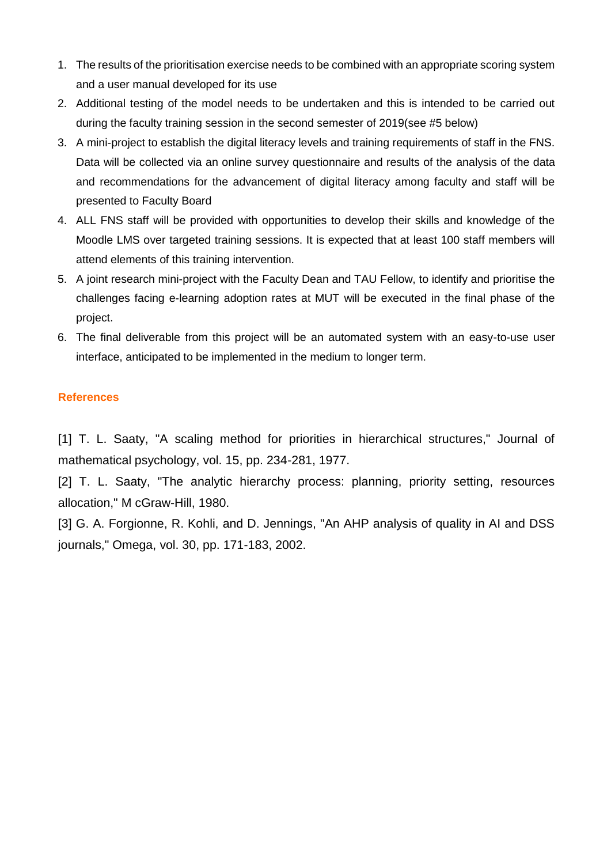- 1. The results of the prioritisation exercise needs to be combined with an appropriate scoring system and a user manual developed for its use
- 2. Additional testing of the model needs to be undertaken and this is intended to be carried out during the faculty training session in the second semester of 2019(see #5 below)
- 3. A mini-project to establish the digital literacy levels and training requirements of staff in the FNS. Data will be collected via an online survey questionnaire and results of the analysis of the data and recommendations for the advancement of digital literacy among faculty and staff will be presented to Faculty Board
- 4. ALL FNS staff will be provided with opportunities to develop their skills and knowledge of the Moodle LMS over targeted training sessions. It is expected that at least 100 staff members will attend elements of this training intervention.
- 5. A joint research mini-project with the Faculty Dean and TAU Fellow, to identify and prioritise the challenges facing e-learning adoption rates at MUT will be executed in the final phase of the project.
- 6. The final deliverable from this project will be an automated system with an easy-to-use user interface, anticipated to be implemented in the medium to longer term.

## **References**

[1] T. L. Saaty, "A scaling method for priorities in hierarchical structures," Journal of mathematical psychology, vol. 15, pp. 234-281, 1977.

[2] T. L. Saaty, "The analytic hierarchy process: planning, priority setting, resources allocation," M cGraw-Hill, 1980.

[3] G. A. Forgionne, R. Kohli, and D. Jennings, "An AHP analysis of quality in AI and DSS journals," Omega, vol. 30, pp. 171-183, 2002.